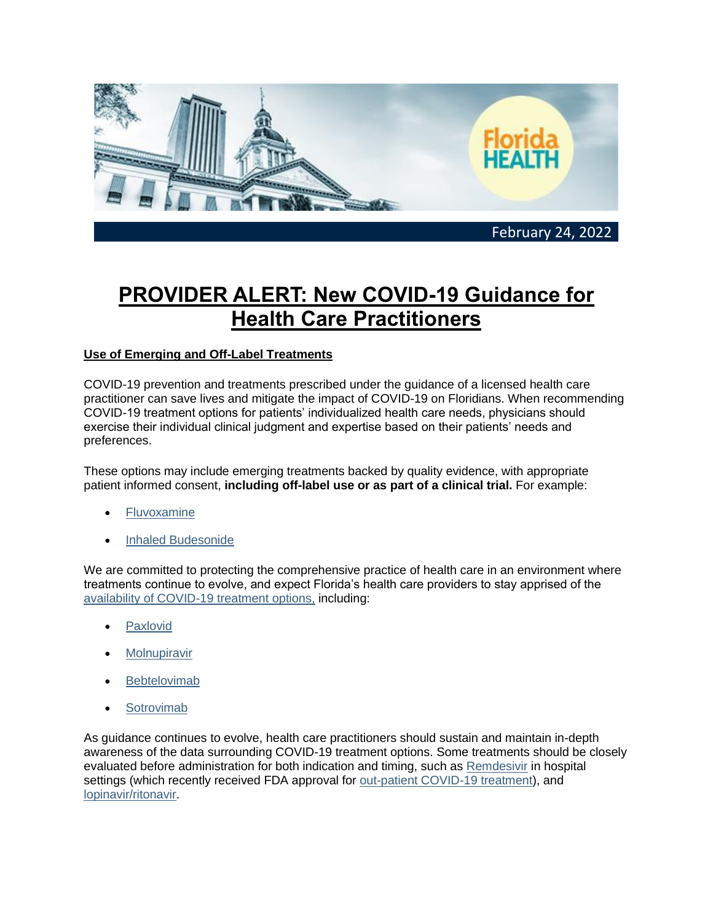

## **PROVIDER ALERT: New COVID-19 Guidance for Health Care Practitioners**

## **Use of Emerging and Off-Label Treatments**

COVID-19 prevention and treatments prescribed under the guidance of a licensed health care practitioner can save lives and mitigate the impact of COVID-19 on Floridians. When recommending COVID-19 treatment options for patients' individualized health care needs, physicians should exercise their individual clinical judgment and expertise based on their patients' needs and preferences.

These options may include emerging treatments backed by quality evidence, with appropriate patient informed consent, **including off-label use or as part of a clinical trial.** For example:

- **[Fluvoxamine](https://urldefense.com/v3/__https:/lnks.gd/l/eyJhbGciOiJIUzI1NiJ9.eyJidWxsZXRpbl9saW5rX2lkIjoxMDEsInVyaSI6ImJwMjpjbGljayIsImJ1bGxldGluX2lkIjoiMjAyMjAyMjQuNTM5NDE5NTEiLCJ1cmwiOiJodHRwczovL3d3dy5uY2JpLm5sbS5uaWguZ292L3BtYy9hcnRpY2xlcy9QTUM4NTUwOTUyLz91dG1fbWVkaXVtPWVtYWlsJnV0bV9zb3VyY2U9Z292ZGVsaXZlcnkifQ.Qm7zGqQhHFFw81zvcyfrJqS8WgS3fMtEgyEvDJHQUXw/s/2129920592/br/127115284118-l__;!!B6dj6w!q5_Q9Wnv_IFUleLVIjedS9MP7-5mwLqg2XdWJe1Vn_G119JX14wvQ4tGvi9pfSlPNge_$)**
- [Inhaled Budesonide](https://urldefense.com/v3/__https:/lnks.gd/l/eyJhbGciOiJIUzI1NiJ9.eyJidWxsZXRpbl9saW5rX2lkIjoxMDIsInVyaSI6ImJwMjpjbGljayIsImJ1bGxldGluX2lkIjoiMjAyMjAyMjQuNTM5NDE5NTEiLCJ1cmwiOiJodHRwczovL3d3dy50aGVsYW5jZXQuY29tL2pvdXJuYWxzL2xhbmNldC9hcnRpY2xlL1BJSVMwMTQwLTY3MzYoMjEpMDE3NDQtWC9mdWxsdGV4dD91dG1fbWVkaXVtPWVtYWlsJnV0bV9zb3VyY2U9Z292ZGVsaXZlcnkifQ.6LAO0mtL_HR7pOFvJKXRujO__AZ3xeZmbyAhhRqlJbs/s/2129920592/br/127115284118-l__;!!B6dj6w!q5_Q9Wnv_IFUleLVIjedS9MP7-5mwLqg2XdWJe1Vn_G119JX14wvQ4tGvi9pfajWPSKS$)

We are committed to protecting the comprehensive practice of health care in an environment where treatments continue to evolve, and expect Florida's health care providers to stay apprised of the [availability of COVID-19 treatment options,](https://urldefense.com/v3/__https:/lnks.gd/l/eyJhbGciOiJIUzI1NiJ9.eyJidWxsZXRpbl9saW5rX2lkIjoxMDMsInVyaSI6ImJwMjpjbGljayIsImJ1bGxldGluX2lkIjoiMjAyMjAyMjQuNTM5NDE5NTEiLCJ1cmwiOiJodHRwczovL2Zsb3JpZGFoZWFsdGhjb3ZpZDE5Lmdvdi90cmVhdG1lbnRzL3RyZWF0bWVudGxvY2F0b3IvP3V0bV9tZWRpdW09ZW1haWwmdXRtX3NvdXJjZT1nb3ZkZWxpdmVyeSJ9.5j0kM0pDebn6JiMTdtdIBQkkqtCHIf8v8iIQLNKn1x8/s/2129920592/br/127115284118-l__;!!B6dj6w!q5_Q9Wnv_IFUleLVIjedS9MP7-5mwLqg2XdWJe1Vn_G119JX14wvQ4tGvi9pfedDySZb$) including:

- **[Paxlovid](https://urldefense.com/v3/__https:/lnks.gd/l/eyJhbGciOiJIUzI1NiJ9.eyJidWxsZXRpbl9saW5rX2lkIjoxMDQsInVyaSI6ImJwMjpjbGljayIsImJ1bGxldGluX2lkIjoiMjAyMjAyMjQuNTM5NDE5NTEiLCJ1cmwiOiJodHRwczovL3d3dy5mZGEuZ292L25ld3MtZXZlbnRzL3ByZXNzLWFubm91bmNlbWVudHMvY29yb25hdmlydXMtY292aWQtMTktdXBkYXRlLWZkYS1hdXRob3JpemVzLWZpcnN0LW9yYWwtYW50aXZpcmFsLXRyZWF0bWVudC1jb3ZpZC0xOT91dG1fbWVkaXVtPWVtYWlsJnV0bV9zb3VyY2U9Z292ZGVsaXZlcnkifQ.my0t8-OPdtcg8uA3TdMtI0BKpTx9PyB29ccytWI0dc4/s/2129920592/br/127115284118-l__;!!B6dj6w!q5_Q9Wnv_IFUleLVIjedS9MP7-5mwLqg2XdWJe1Vn_G119JX14wvQ4tGvi9pfax_Q6xU$)**
- **[Molnupiravir](https://urldefense.com/v3/__https:/lnks.gd/l/eyJhbGciOiJIUzI1NiJ9.eyJidWxsZXRpbl9saW5rX2lkIjoxMDUsInVyaSI6ImJwMjpjbGljayIsImJ1bGxldGluX2lkIjoiMjAyMjAyMjQuNTM5NDE5NTEiLCJ1cmwiOiJodHRwczovL3d3dy5mZGEuZ292L21lZGlhLzE1NTA1My9kb3dubG9hZD91dG1fbWVkaXVtPWVtYWlsJnV0bV9zb3VyY2U9Z292ZGVsaXZlcnkifQ.TaPx0l_GbtAyu72XXhs-LAGml83OPQRhwHu-dmSza-E/s/2129920592/br/127115284118-l__;!!B6dj6w!q5_Q9Wnv_IFUleLVIjedS9MP7-5mwLqg2XdWJe1Vn_G119JX14wvQ4tGvi9pfdkNA5GB$)**
- **[Bebtelovimab](https://urldefense.com/v3/__https:/lnks.gd/l/eyJhbGciOiJIUzI1NiJ9.eyJidWxsZXRpbl9saW5rX2lkIjoxMDYsInVyaSI6ImJwMjpjbGljayIsImJ1bGxldGluX2lkIjoiMjAyMjAyMjQuNTM5NDE5NTEiLCJ1cmwiOiJodHRwczovL3d3dy5mZGEuZ292L25ld3MtZXZlbnRzL3ByZXNzLWFubm91bmNlbWVudHMvY29yb25hdmlydXMtY292aWQtMTktdXBkYXRlLWZkYS1hdXRob3JpemVzLW5ldy1tb25vY2xvbmFsLWFudGlib2R5LXRyZWF0bWVudC1jb3ZpZC0xOS1yZXRhaW5zP3V0bV9tZWRpdW09ZW1haWwmdXRtX3NvdXJjZT1nb3ZkZWxpdmVyeSJ9.SD9O5WMolI87DXqS0n6tMjw_TOauopkW3HwDmySZ3OQ/s/2129920592/br/127115284118-l__;!!B6dj6w!q5_Q9Wnv_IFUleLVIjedS9MP7-5mwLqg2XdWJe1Vn_G119JX14wvQ4tGvi9pfYoAM6wm$)**
- **[Sotrovimab](https://urldefense.com/v3/__https:/lnks.gd/l/eyJhbGciOiJIUzI1NiJ9.eyJidWxsZXRpbl9saW5rX2lkIjoxMDcsInVyaSI6ImJwMjpjbGljayIsImJ1bGxldGluX2lkIjoiMjAyMjAyMjQuNTM5NDE5NTEiLCJ1cmwiOiJodHRwczovL2dza3Byby5jb20vY29udGVudC9kYW0vZ2xvYmFsL2hjcHBvcnRhbC9lbl9VUy9QcmVzY3JpYmluZ19JbmZvcm1hdGlvbi9Tb3Ryb3ZpbWFiL3BkZi9TT1RST1ZJTUFCLUVVQS5QREY_dXRtX21lZGl1bT1lbWFpbCZ1dG1fc291cmNlPWdvdmRlbGl2ZXJ5I25hbWVkZGVzdD1IQ1BGUyJ9.MptvTNWw0TEKzbDep5zbu0jpcm5TLd5bCxb2BAmvqYE/s/2129920592/br/127115284118-l__;!!B6dj6w!q5_Q9Wnv_IFUleLVIjedS9MP7-5mwLqg2XdWJe1Vn_G119JX14wvQ4tGvi9pfe_BRhbD$)**

As guidance continues to evolve, health care practitioners should sustain and maintain in-depth awareness of the data surrounding COVID-19 treatment options. Some treatments should be closely evaluated before administration for both indication and timing, such as [Remdesivir](https://urldefense.com/v3/__https:/lnks.gd/l/eyJhbGciOiJIUzI1NiJ9.eyJidWxsZXRpbl9saW5rX2lkIjoxMDgsInVyaSI6ImJwMjpjbGljayIsImJ1bGxldGluX2lkIjoiMjAyMjAyMjQuNTM5NDE5NTEiLCJ1cmwiOiJodHRwczovL3d3dy5ibWouY29tL2NvbnRlbnQvMzcwL2Jtai5tMzM3OT91dG1fbWVkaXVtPWVtYWlsJnV0bV9zb3VyY2U9Z292ZGVsaXZlcnkifQ.k-TAhgLoPxZsVLulz8DdNY5ITvc550AHu6R-FTmVlUo/s/2129920592/br/127115284118-l__;!!B6dj6w!q5_Q9Wnv_IFUleLVIjedS9MP7-5mwLqg2XdWJe1Vn_G119JX14wvQ4tGvi9pfRRSeL0T$) in hospital settings (which recently received FDA approval for [out-patient COVID-19 treatment\)](https://urldefense.com/v3/__https:/lnks.gd/l/eyJhbGciOiJIUzI1NiJ9.eyJidWxsZXRpbl9saW5rX2lkIjoxMDksInVyaSI6ImJwMjpjbGljayIsImJ1bGxldGluX2lkIjoiMjAyMjAyMjQuNTM5NDE5NTEiLCJ1cmwiOiJodHRwczovL3d3dy5mZGEuZ292L25ld3MtZXZlbnRzL3ByZXNzLWFubm91bmNlbWVudHMvZmRhLXRha2VzLWFjdGlvbnMtZXhwYW5kLXVzZS10cmVhdG1lbnQtb3V0cGF0aWVudHMtbWlsZC1tb2RlcmF0ZS1jb3ZpZC0xOT91dG1fbWVkaXVtPWVtYWlsJnV0bV9zb3VyY2U9Z292ZGVsaXZlcnkifQ.1H1tMYlz8a8JMMGAOdh3-E4kWMnFBd7u5X3KdnyDqA0/s/2129920592/br/127115284118-l__;!!B6dj6w!q5_Q9Wnv_IFUleLVIjedS9MP7-5mwLqg2XdWJe1Vn_G119JX14wvQ4tGvi9pfSfxejhM$), and [lopinavir/ritonavir.](https://urldefense.com/v3/__https:/lnks.gd/l/eyJhbGciOiJIUzI1NiJ9.eyJidWxsZXRpbl9saW5rX2lkIjoxMTAsInVyaSI6ImJwMjpjbGljayIsImJ1bGxldGluX2lkIjoiMjAyMjAyMjQuNTM5NDE5NTEiLCJ1cmwiOiJodHRwczovL2FwcC5tYWdpY2FwcC5vcmcvd2lkZ2V0L3BpY28vaW5kZXguaHRtbD9nSWQ9bkJrTzFFJnBpY29JZD1FZVk1cEUmdGFiPW91dGNvbWUmdXRtX21lZGl1bT1lbWFpbCZ1dG1fc291cmNlPWdvdmRlbGl2ZXJ5In0.tD0nNAsvHptYhyUTEB1FAk3bmN9K7igbEtt8RJPXgzg/s/2129920592/br/127115284118-l__;!!B6dj6w!q5_Q9Wnv_IFUleLVIjedS9MP7-5mwLqg2XdWJe1Vn_G119JX14wvQ4tGvi9pfecL9R7-$)